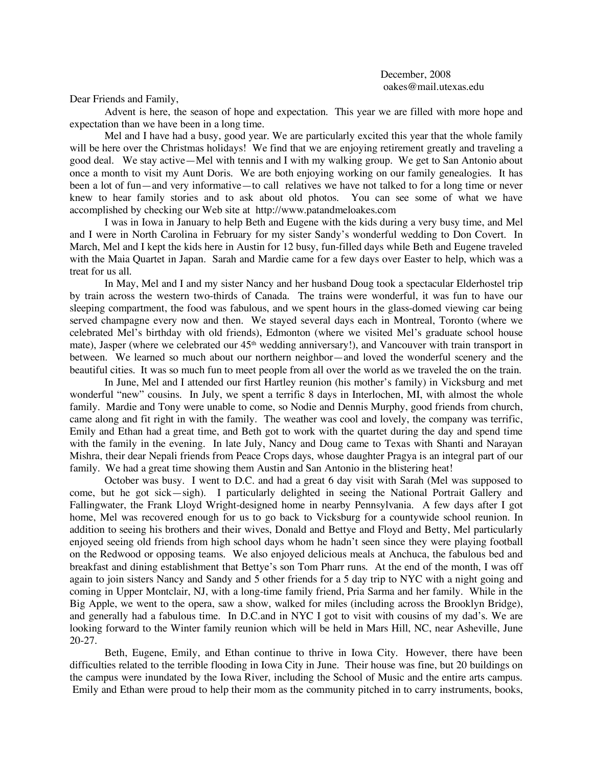Dear Friends and Family,

Advent is here, the season of hope and expectation. This year we are filled with more hope and expectation than we have been in a long time.

Mel and I have had a busy, good year. We are particularly excited this year that the whole family will be here over the Christmas holidays! We find that we are enjoying retirement greatly and traveling a good deal. We stay active—Mel with tennis and I with my walking group. We get to San Antonio about once a month to visit my Aunt Doris. We are both enjoying working on our family genealogies. It has been a lot of fun—and very informative—to call relatives we have not talked to for a long time or never knew to hear family stories and to ask about old photos. You can see some of what we have accomplished by checking our Web site at http://www.patandmeloakes.com

I was in Iowa in January to help Beth and Eugene with the kids during a very busy time, and Mel and I were in North Carolina in February for my sister Sandy's wonderful wedding to Don Covert. In March, Mel and I kept the kids here in Austin for 12 busy, fun-filled days while Beth and Eugene traveled with the Maia Quartet in Japan. Sarah and Mardie came for a few days over Easter to help, which was a treat for us all.

In May, Mel and I and my sister Nancy and her husband Doug took a spectacular Elderhostel trip by train across the western two-thirds of Canada. The trains were wonderful, it was fun to have our sleeping compartment, the food was fabulous, and we spent hours in the glass-domed viewing car being served champagne every now and then. We stayed several days each in Montreal, Toronto (where we celebrated Mel's birthday with old friends), Edmonton (where we visited Mel's graduate school house mate), Jasper (where we celebrated our 45<sup>th</sup> wedding anniversary!), and Vancouver with train transport in between. We learned so much about our northern neighbor—and loved the wonderful scenery and the beautiful cities. It was so much fun to meet people from all over the world as we traveled the on the train.

In June, Mel and I attended our first Hartley reunion (his mother's family) in Vicksburg and met wonderful "new" cousins. In July, we spent a terrific 8 days in Interlochen, MI, with almost the whole family. Mardie and Tony were unable to come, so Nodie and Dennis Murphy, good friends from church, came along and fit right in with the family. The weather was cool and lovely, the company was terrific, Emily and Ethan had a great time, and Beth got to work with the quartet during the day and spend time with the family in the evening. In late July, Nancy and Doug came to Texas with Shanti and Narayan Mishra, their dear Nepali friends from Peace Crops days, whose daughter Pragya is an integral part of our family. We had a great time showing them Austin and San Antonio in the blistering heat!

October was busy. I went to D.C. and had a great 6 day visit with Sarah (Mel was supposed to come, but he got sick—sigh). I particularly delighted in seeing the National Portrait Gallery and Fallingwater, the Frank Lloyd Wright-designed home in nearby Pennsylvania. A few days after I got home, Mel was recovered enough for us to go back to Vicksburg for a countywide school reunion. In addition to seeing his brothers and their wives, Donald and Bettye and Floyd and Betty, Mel particularly enjoyed seeing old friends from high school days whom he hadn't seen since they were playing football on the Redwood or opposing teams. We also enjoyed delicious meals at Anchuca, the fabulous bed and breakfast and dining establishment that Bettye's son Tom Pharr runs. At the end of the month, I was off again to join sisters Nancy and Sandy and 5 other friends for a 5 day trip to NYC with a night going and coming in Upper Montclair, NJ, with a long-time family friend, Pria Sarma and her family. While in the Big Apple, we went to the opera, saw a show, walked for miles (including across the Brooklyn Bridge), and generally had a fabulous time. In D.C.and in NYC I got to visit with cousins of my dad's. We are looking forward to the Winter family reunion which will be held in Mars Hill, NC, near Asheville, June 20-27.

Beth, Eugene, Emily, and Ethan continue to thrive in Iowa City. However, there have been difficulties related to the terrible flooding in Iowa City in June. Their house was fine, but 20 buildings on the campus were inundated by the Iowa River, including the School of Music and the entire arts campus. Emily and Ethan were proud to help their mom as the community pitched in to carry instruments, books,